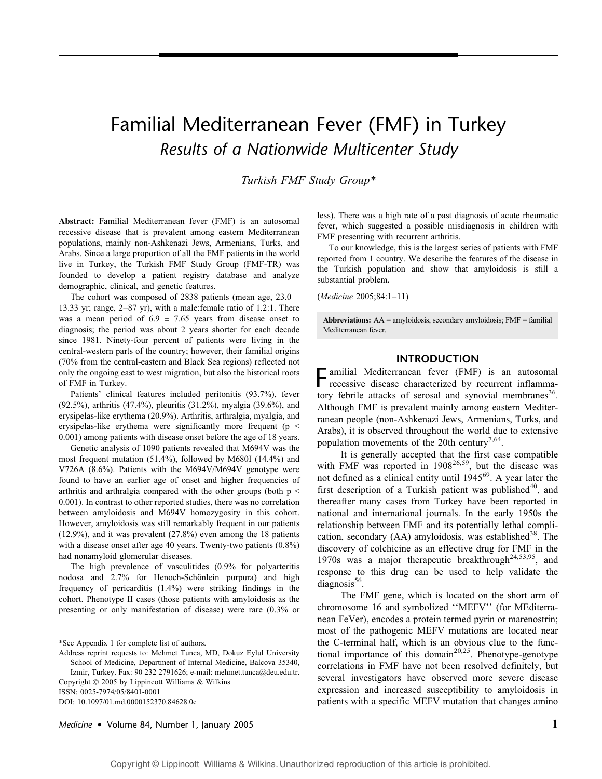# Familial Mediterranean Fever (FMF) in Turkey Results of a Nationwide Multicenter Study

Turkish FMF Study Group\*

Abstract: Familial Mediterranean fever (FMF) is an autosomal recessive disease that is prevalent among eastern Mediterranean populations, mainly non-Ashkenazi Jews, Armenians, Turks, and Arabs. Since a large proportion of all the FMF patients in the world live in Turkey, the Turkish FMF Study Group (FMF-TR) was founded to develop a patient registry database and analyze demographic, clinical, and genetic features.

The cohort was composed of 2838 patients (mean age, 23.0  $\pm$ 13.33 yr; range, 2–87 yr), with a male:female ratio of 1.2:1. There was a mean period of  $6.9 \pm 7.65$  years from disease onset to diagnosis; the period was about 2 years shorter for each decade since 1981. Ninety-four percent of patients were living in the central-western parts of the country; however, their familial origins (70% from the central-eastern and Black Sea regions) reflected not only the ongoing east to west migration, but also the historical roots of FMF in Turkey.

Patients' clinical features included peritonitis (93.7%), fever (92.5%), arthritis (47.4%), pleuritis (31.2%), myalgia (39.6%), and erysipelas-like erythema (20.9%). Arthritis, arthralgia, myalgia, and erysipelas-like erythema were significantly more frequent (p < 0.001) among patients with disease onset before the age of 18 years.

Genetic analysis of 1090 patients revealed that M694V was the most frequent mutation (51.4%), followed by M680I (14.4%) and V726A (8.6%). Patients with the M694V/M694V genotype were found to have an earlier age of onset and higher frequencies of arthritis and arthralgia compared with the other groups (both  $p \le$ 0.001). In contrast to other reported studies, there was no correlation between amyloidosis and M694V homozygosity in this cohort. However, amyloidosis was still remarkably frequent in our patients (12.9%), and it was prevalent (27.8%) even among the 18 patients with a disease onset after age 40 years. Twenty-two patients (0.8%) had nonamyloid glomerular diseases.

The high prevalence of vasculitides (0.9% for polyarteritis nodosa and 2.7% for Henoch-Schönlein purpura) and high frequency of pericarditis (1.4%) were striking findings in the cohort. Phenotype II cases (those patients with amyloidosis as the presenting or only manifestation of disease) were rare (0.3% or

\*See Appendix 1 for complete list of authors.

ISSN: 0025-7974/05/8401-0001

DOI: 10.1097/01.md.0000152370.84628.0c

Medicine Volume 84, Number 1, January 2005 1

less). There was a high rate of a past diagnosis of acute rheumatic fever, which suggested a possible misdiagnosis in children with FMF presenting with recurrent arthritis.

To our knowledge, this is the largest series of patients with FMF reported from 1 country. We describe the features of the disease in the Turkish population and show that amyloidosis is still a substantial problem.

(Medicine 2005;84:1–11)

Abbreviations:  $AA =$ amyloidosis, secondary amyloidosis;  $FMF =$ familial Mediterranean fever.

## INTRODUCTION

amilial Mediterranean fever (FMF) is an autosomal recessive disease characterized by recurrent inflammatory febrile attacks of serosal and synovial membranes  $36$ . Although FMF is prevalent mainly among eastern Mediterranean people (non-Ashkenazi Jews, Armenians, Turks, and Arabs), it is observed throughout the world due to extensive population movements of the 20th century<sup>7,64</sup>.

It is generally accepted that the first case compatible with FMF was reported in  $1908^{26,59}$ , but the disease was not defined as a clinical entity until 194569. A year later the first description of a Turkish patient was published<sup>40</sup>, and thereafter many cases from Turkey have been reported in national and international journals. In the early 1950s the relationship between FMF and its potentially lethal complication, secondary  $(AA)$  amyloidosis, was established<sup>38</sup>. The discovery of colchicine as an effective drug for FMF in the 1970s was a major therapeutic breakthrough<sup>24,53,95</sup>, and response to this drug can be used to help validate the diagnosis $56$ .

The FMF gene, which is located on the short arm of chromosome 16 and symbolized ''MEFV'' (for MEditerranean FeVer), encodes a protein termed pyrin or marenostrin; most of the pathogenic MEFV mutations are located near the C-terminal half, which is an obvious clue to the functional importance of this domain<sup>20,25</sup>. Phenotype-genotype correlations in FMF have not been resolved definitely, but several investigators have observed more severe disease expression and increased susceptibility to amyloidosis in patients with a specific MEFV mutation that changes amino

Address reprint requests to: Mehmet Tunca, MD, Dokuz Eylul University School of Medicine, Department of Internal Medicine, Balcova 35340, Izmir, Turkey. Fax: 90 232 2791626; e-mail: mehmet.tunca@deu.edu.tr. Copyright  $\odot$  2005 by Lippincott Williams & Wilkins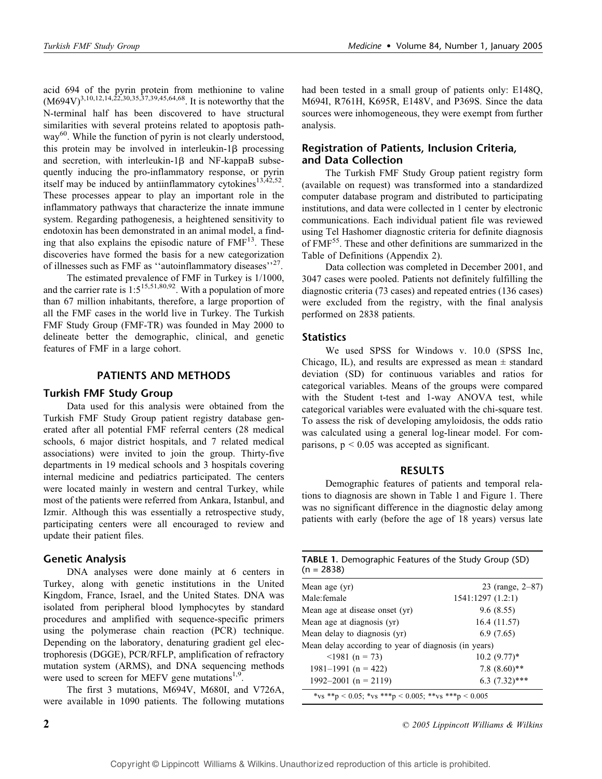acid 694 of the pyrin protein from methionine to valine  $(M694V)^{3,10,12,14,22,30,35,37,39,45,64,68}$ . It is noteworthy that the N-terminal half has been discovered to have structural similarities with several proteins related to apoptosis path $way<sup>60</sup>$ . While the function of pyrin is not clearly understood, this protein may be involved in interleukin-1 $\beta$  processing and secretion, with interleukin- $1\beta$  and NF-kappaB subsequently inducing the pro-inflammatory response, or pyrin itself may be induced by antiinflammatory cytokines<sup>13,42,52</sup>. These processes appear to play an important role in the inflammatory pathways that characterize the innate immune system. Regarding pathogenesis, a heightened sensitivity to endotoxin has been demonstrated in an animal model, a finding that also explains the episodic nature of  $FMF<sup>13</sup>$ . These discoveries have formed the basis for a new categorization of illnesses such as FMF as "autoinflammatory diseases"<sup>27</sup>.

The estimated prevalence of FMF in Turkey is 1/1000, and the carrier rate is  $1:5^{15,51,80,92}$ . With a population of more than 67 million inhabitants, therefore, a large proportion of all the FMF cases in the world live in Turkey. The Turkish FMF Study Group (FMF-TR) was founded in May 2000 to delineate better the demographic, clinical, and genetic features of FMF in a large cohort.

# PATIENTS AND METHODS

# Turkish FMF Study Group

Data used for this analysis were obtained from the Turkish FMF Study Group patient registry database generated after all potential FMF referral centers (28 medical schools, 6 major district hospitals, and 7 related medical associations) were invited to join the group. Thirty-five departments in 19 medical schools and 3 hospitals covering internal medicine and pediatrics participated. The centers were located mainly in western and central Turkey, while most of the patients were referred from Ankara, Istanbul, and Izmir. Although this was essentially a retrospective study, participating centers were all encouraged to review and update their patient files.

# Genetic Analysis

DNA analyses were done mainly at 6 centers in Turkey, along with genetic institutions in the United Kingdom, France, Israel, and the United States. DNA was isolated from peripheral blood lymphocytes by standard procedures and amplified with sequence-specific primers using the polymerase chain reaction (PCR) technique. Depending on the laboratory, denaturing gradient gel electrophoresis (DGGE), PCR/RFLP, amplification of refractory mutation system (ARMS), and DNA sequencing methods were used to screen for MEFV gene mutations $1,9$ .

The first 3 mutations, M694V, M680I, and V726A, were available in 1090 patients. The following mutations

# Registration of Patients, Inclusion Criteria, and Data Collection

The Turkish FMF Study Group patient registry form (available on request) was transformed into a standardized computer database program and distributed to participating institutions, and data were collected in 1 center by electronic communications. Each individual patient file was reviewed using Tel Hashomer diagnostic criteria for definite diagnosis of FMF<sup>55</sup>. These and other definitions are summarized in the Table of Definitions (Appendix 2).

Data collection was completed in December 2001, and 3047 cases were pooled. Patients not definitely fulfilling the diagnostic criteria (73 cases) and repeated entries (136 cases) were excluded from the registry, with the final analysis performed on 2838 patients.

# **Statistics**

We used SPSS for Windows v. 10.0 (SPSS Inc, Chicago, IL), and results are expressed as mean  $\pm$  standard deviation (SD) for continuous variables and ratios for categorical variables. Means of the groups were compared with the Student t-test and 1-way ANOVA test, while categorical variables were evaluated with the chi-square test. To assess the risk of developing amyloidosis, the odds ratio was calculated using a general log-linear model. For comparisons,  $p < 0.05$  was accepted as significant.

# RESULTS

Demographic features of patients and temporal relations to diagnosis are shown in Table 1 and Figure 1. There was no significant difference in the diagnostic delay among patients with early (before the age of 18 years) versus late

TABLE 1. Demographic Features of the Study Group (SD)

| $(n = 2838)$                                         |                     |
|------------------------------------------------------|---------------------|
| Mean age (yr)                                        | 23 (range, $2-87$ ) |
| Male: female                                         | 1541:1297 (1.2:1)   |
| Mean age at disease onset (yr)                       | 9.6(8.55)           |
| Mean age at diagnosis (yr)                           | 16.4(11.57)         |
| Mean delay to diagnosis (yr)                         | 6.9(7.65)           |
| Mean delay according to year of diagnosis (in years) |                     |
| $\leq$ 1981 (n = 73)                                 | $10.2 (9.77)^*$     |
| $1981 - 1991$ (n = 422)                              | 7.8 $(8.60)$ **     |
| 1992-2001 (n = 2119)                                 | $6.3(7.32)$ ***     |
| *vs **p < 0.05; *vs ***p < 0.005; **vs ***p < 0.005  |                     |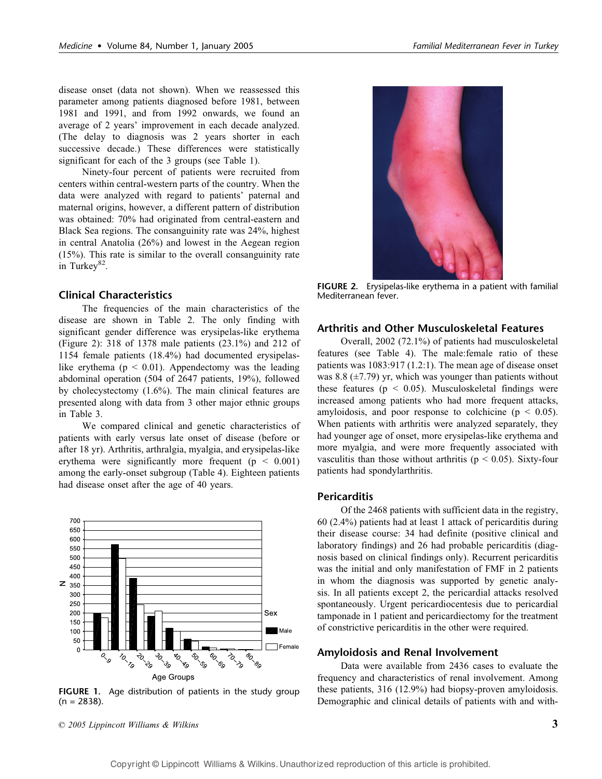disease onset (data not shown). When we reassessed this parameter among patients diagnosed before 1981, between 1981 and 1991, and from 1992 onwards, we found an average of 2 years' improvement in each decade analyzed. (The delay to diagnosis was 2 years shorter in each successive decade.) These differences were statistically significant for each of the 3 groups (see Table 1).

Ninety-four percent of patients were recruited from centers within central-western parts of the country. When the data were analyzed with regard to patients' paternal and maternal origins, however, a different pattern of distribution was obtained: 70% had originated from central-eastern and Black Sea regions. The consanguinity rate was 24%, highest in central Anatolia (26%) and lowest in the Aegean region (15%). This rate is similar to the overall consanguinity rate in Turkey<sup>82</sup>.

#### Clinical Characteristics

The frequencies of the main characteristics of the disease are shown in Table 2. The only finding with significant gender difference was erysipelas-like erythema (Figure 2): 318 of 1378 male patients (23.1%) and 212 of 1154 female patients (18.4%) had documented erysipelaslike erythema ( $p < 0.01$ ). Appendectomy was the leading abdominal operation (504 of 2647 patients, 19%), followed by cholecystectomy (1.6%). The main clinical features are presented along with data from 3 other major ethnic groups in Table 3.

We compared clinical and genetic characteristics of patients with early versus late onset of disease (before or after 18 yr). Arthritis, arthralgia, myalgia, and erysipelas-like erythema were significantly more frequent ( $p < 0.001$ ) among the early-onset subgroup (Table 4). Eighteen patients had disease onset after the age of 40 years.



FIGURE 1. Age distribution of patients in the study group  $(n = 2838)$ .

 $\degree$  2005 Lippincott Williams & Wilkins  $\degree$  3



FIGURE 2. Erysipelas-like erythema in a patient with familial Mediterranean fever.

## Arthritis and Other Musculoskeletal Features

Overall, 2002 (72.1%) of patients had musculoskeletal features (see Table 4). The male:female ratio of these patients was 1083:917 (1.2:1). The mean age of disease onset was 8.8  $(\pm 7.79)$  yr, which was younger than patients without these features ( $p < 0.05$ ). Musculoskeletal findings were increased among patients who had more frequent attacks, amyloidosis, and poor response to colchicine ( $p < 0.05$ ). When patients with arthritis were analyzed separately, they had younger age of onset, more erysipelas-like erythema and more myalgia, and were more frequently associated with vasculitis than those without arthritis ( $p < 0.05$ ). Sixty-four patients had spondylarthritis.

## Pericarditis

Of the 2468 patients with sufficient data in the registry, 60 (2.4%) patients had at least 1 attack of pericarditis during their disease course: 34 had definite (positive clinical and laboratory findings) and 26 had probable pericarditis (diagnosis based on clinical findings only). Recurrent pericarditis was the initial and only manifestation of FMF in 2 patients in whom the diagnosis was supported by genetic analysis. In all patients except 2, the pericardial attacks resolved spontaneously. Urgent pericardiocentesis due to pericardial tamponade in 1 patient and pericardiectomy for the treatment of constrictive pericarditis in the other were required.

#### Amyloidosis and Renal Involvement

Data were available from 2436 cases to evaluate the frequency and characteristics of renal involvement. Among these patients, 316 (12.9%) had biopsy-proven amyloidosis. Demographic and clinical details of patients with and with-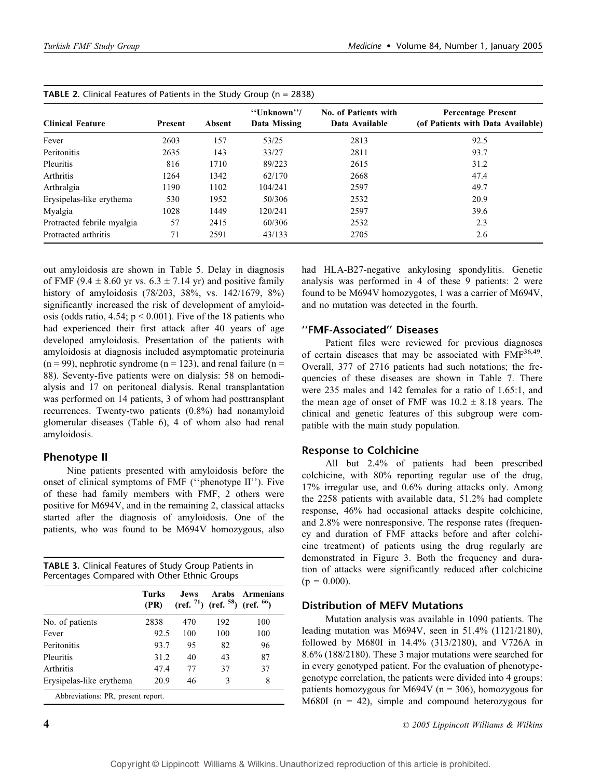| <b>TABLE 2.</b> Connect Features of Fations in the study Group (ii = 2050) |         |        |                            |                                               |                                                                |
|----------------------------------------------------------------------------|---------|--------|----------------------------|-----------------------------------------------|----------------------------------------------------------------|
| <b>Clinical Feature</b>                                                    | Present | Absent | "Unknown"/<br>Data Missing | <b>No. of Patients with</b><br>Data Available | <b>Percentage Present</b><br>(of Patients with Data Available) |
| Fever                                                                      | 2603    | 157    | 53/25                      | 2813                                          | 92.5                                                           |
| Peritonitis                                                                | 2635    | 143    | 33/27                      | 2811                                          | 93.7                                                           |
| Pleuritis                                                                  | 816     | 1710   | 89/223                     | 2615                                          | 31.2                                                           |
| Arthritis                                                                  | 1264    | 1342   | 62/170                     | 2668                                          | 47.4                                                           |
| Arthralgia                                                                 | 1190    | 1102   | 104/241                    | 2597                                          | 49.7                                                           |
| Erysipelas-like erythema                                                   | 530     | 1952   | 50/306                     | 2532                                          | 20.9                                                           |
| Myalgia                                                                    | 1028    | 1449   | 120/241                    | 2597                                          | 39.6                                                           |
| Protracted febrile myalgia                                                 | 57      | 2415   | 60/306                     | 2532                                          | 2.3                                                            |
| Protracted arthritis                                                       | 71      | 2591   | 43/133                     | 2705                                          | 2.6                                                            |

|  |  |  |  | <b>TABLE 2.</b> Clinical Features of Patients in the Study Group ( $n = 2838$ ) |
|--|--|--|--|---------------------------------------------------------------------------------|
|--|--|--|--|---------------------------------------------------------------------------------|

out amyloidosis are shown in Table 5. Delay in diagnosis of FMF (9.4  $\pm$  8.60 yr vs. 6.3  $\pm$  7.14 yr) and positive family history of amyloidosis (78/203, 38%, vs. 142/1679, 8%) significantly increased the risk of development of amyloidosis (odds ratio, 4.54;  $p < 0.001$ ). Five of the 18 patients who had experienced their first attack after 40 years of age developed amyloidosis. Presentation of the patients with amyloidosis at diagnosis included asymptomatic proteinuria  $(n = 99)$ , nephrotic syndrome  $(n = 123)$ , and renal failure  $(n = 123)$ 88). Seventy-five patients were on dialysis: 58 on hemodialysis and 17 on peritoneal dialysis. Renal transplantation was performed on 14 patients, 3 of whom had posttransplant recurrences. Twenty-two patients (0.8%) had nonamyloid glomerular diseases (Table 6), 4 of whom also had renal amyloidosis.

# Phenotype II

Nine patients presented with amyloidosis before the onset of clinical symptoms of FMF (''phenotype II''). Five of these had family members with FMF, 2 others were positive for M694V, and in the remaining 2, classical attacks started after the diagnosis of amyloidosis. One of the patients, who was found to be M694V homozygous, also

| <b>TABLE 3.</b> Clinical Features of Study Group Patients in |  |
|--------------------------------------------------------------|--|
| Percentages Compared with Other Ethnic Groups                |  |

|                                    | Turks<br>(PR) | Jews. | $(ref. 71)$ $(ref. 58)$ $(ref. 66)$ | Arabs Armenians |
|------------------------------------|---------------|-------|-------------------------------------|-----------------|
| No. of patients                    | 2838          | 470   | 192                                 | 100             |
| Fever                              | 92.5          | 100   | 100                                 | 100             |
| Peritonitis                        | 93.7          | 95    | 82                                  | 96              |
| Pleuritis                          | 31.2          | 40    | 43                                  | 87              |
| Arthritis                          | 47.4          | 77    | 37                                  | 37              |
| Erysipelas-like erythema           | 20.9          | 46    | 3                                   | 8               |
| Abbreviations: PR, present report. |               |       |                                     |                 |

had HLA-B27-negative ankylosing spondylitis. Genetic analysis was performed in 4 of these 9 patients: 2 were found to be M694V homozygotes, 1 was a carrier of M694V, and no mutation was detected in the fourth.

# ''FMF-Associated'' Diseases

Patient files were reviewed for previous diagnoses of certain diseases that may be associated with  $FMF<sup>36,49</sup>$ . Overall, 377 of 2716 patients had such notations; the frequencies of these diseases are shown in Table 7. There were 235 males and 142 females for a ratio of 1.65:1, and the mean age of onset of FMF was  $10.2 \pm 8.18$  years. The clinical and genetic features of this subgroup were compatible with the main study population.

# Response to Colchicine

All but 2.4% of patients had been prescribed colchicine, with 80% reporting regular use of the drug, 17% irregular use, and 0.6% during attacks only. Among the 2258 patients with available data, 51.2% had complete response, 46% had occasional attacks despite colchicine, and 2.8% were nonresponsive. The response rates (frequency and duration of FMF attacks before and after colchicine treatment) of patients using the drug regularly are demonstrated in Figure 3. Both the frequency and duration of attacks were significantly reduced after colchicine  $(p = 0.000)$ .

# Distribution of MEFV Mutations

Mutation analysis was available in 1090 patients. The leading mutation was M694V, seen in 51.4% (1121/2180), followed by M680I in 14.4% (313/2180), and V726A in 8.6% (188/2180). These 3 major mutations were searched for in every genotyped patient. For the evaluation of phenotypegenotype correlation, the patients were divided into 4 groups: patients homozygous for M694V ( $n = 306$ ), homozygous for M680I ( $n = 42$ ), simple and compound heterozygous for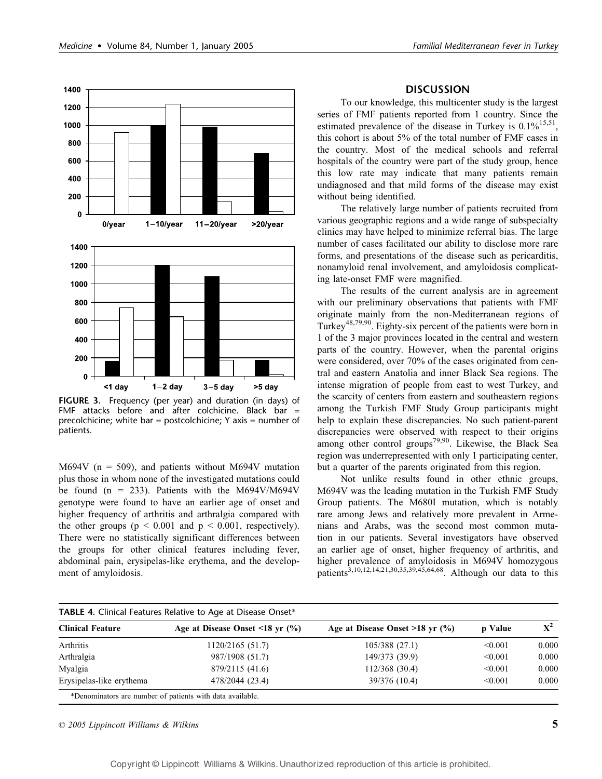

FIGURE 3. Frequency (per year) and duration (in days) of FMF attacks before and after colchicine. Black  $bar =$ precolchicine; white bar = postcolchicine; Y axis = number of patients.

M694V ( $n = 509$ ), and patients without M694V mutation plus those in whom none of the investigated mutations could be found (n = 233). Patients with the M694V/M694V genotype were found to have an earlier age of onset and higher frequency of arthritis and arthralgia compared with the other groups ( $p \le 0.001$  and  $p \le 0.001$ , respectively). There were no statistically significant differences between the groups for other clinical features including fever, abdominal pain, erysipelas-like erythema, and the development of amyloidosis.

## **DISCUSSION**

To our knowledge, this multicenter study is the largest series of FMF patients reported from 1 country. Since the estimated prevalence of the disease in Turkey is  $0.1\%^{15,51}$ , this cohort is about 5% of the total number of FMF cases in the country. Most of the medical schools and referral hospitals of the country were part of the study group, hence this low rate may indicate that many patients remain undiagnosed and that mild forms of the disease may exist without being identified.

The relatively large number of patients recruited from various geographic regions and a wide range of subspecialty clinics may have helped to minimize referral bias. The large number of cases facilitated our ability to disclose more rare forms, and presentations of the disease such as pericarditis, nonamyloid renal involvement, and amyloidosis complicating late-onset FMF were magnified.

The results of the current analysis are in agreement with our preliminary observations that patients with FMF originate mainly from the non-Mediterranean regions of Turkey<sup>48,79,90</sup>. Eighty-six percent of the patients were born in 1 of the 3 major provinces located in the central and western parts of the country. However, when the parental origins were considered, over 70% of the cases originated from central and eastern Anatolia and inner Black Sea regions. The intense migration of people from east to west Turkey, and the scarcity of centers from eastern and southeastern regions among the Turkish FMF Study Group participants might help to explain these discrepancies. No such patient-parent discrepancies were observed with respect to their origins among other control groups<sup>79,90</sup>. Likewise, the Black Sea region was underrepresented with only 1 participating center, but a quarter of the parents originated from this region.

Not unlike results found in other ethnic groups, M694V was the leading mutation in the Turkish FMF Study Group patients. The M680I mutation, which is notably rare among Jews and relatively more prevalent in Armenians and Arabs, was the second most common mutation in our patients. Several investigators have observed an earlier age of onset, higher frequency of arthritis, and higher prevalence of amyloidosis in M694V homozygous patients<sup>3,10,12,14,21,30,35,39,45,64,68</sup>. Although our data to this

| <b>Clinical Feature</b>  | Age at Disease Onset <18 yr $(\% )$ | Age at Disease Onset >18 yr $(\% )$ | p Value | $X^2$ |
|--------------------------|-------------------------------------|-------------------------------------|---------|-------|
| Arthritis                | 1120/2165 (51.7)                    | 105/388(27.1)                       | < 0.001 | 0.000 |
| Arthralgia               | 987/1908 (51.7)                     | 149/373 (39.9)                      | < 0.001 | 0.000 |
| Myalgia                  | 879/2115 (41.6)                     | 112/368(30.4)                       | < 0.001 | 0.000 |
| Erysipelas-like erythema | 478/2044 (23.4)                     | 39/376 (10.4)                       | < 0.001 | 0.000 |

 $\odot$  2005 Lippincott Williams & Wilkins  $5$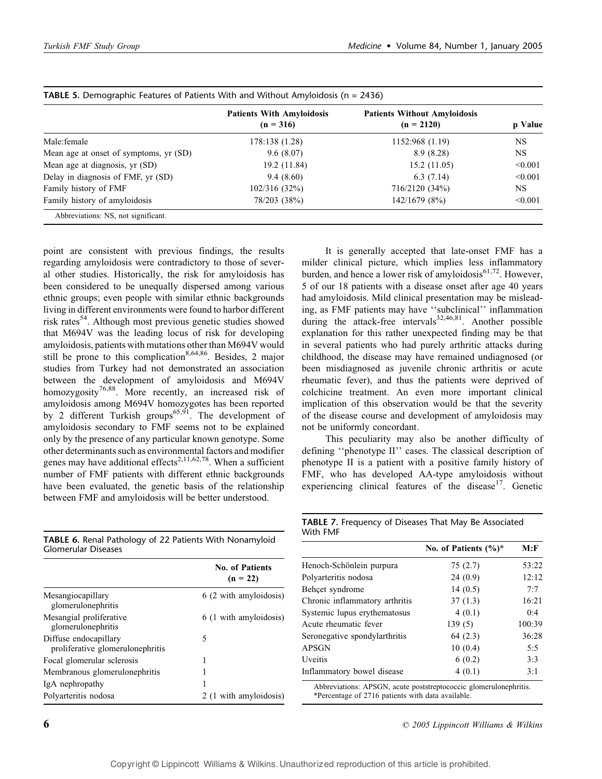|                                        | <b>Patients With Amyloidosis</b><br>$(n = 316)$ | <b>Patients Without Amyloidosis</b><br>$(n = 2120)$ | p Value   |
|----------------------------------------|-------------------------------------------------|-----------------------------------------------------|-----------|
| Male: female                           | 178:138 (1.28)                                  | 1152:968 (1.19)                                     | <b>NS</b> |
| Mean age at onset of symptoms, yr (SD) | 9.6(8.07)                                       | 8.9(8.28)                                           | NS.       |
| Mean age at diagnosis, yr (SD)         | 19.2 (11.84)                                    | 15.2(11.05)                                         | < 0.001   |
| Delay in diagnosis of FMF, yr (SD)     | 9.4(8.60)                                       | 6.3(7.14)                                           | < 0.001   |
| Family history of FMF                  | 102/316(32%)                                    | 716/2120 (34%)                                      | NS.       |
| Family history of amyloidosis          | 78/203 (38%)                                    | 142/1679(8%)                                        | < 0.001   |

point are consistent with previous findings, the results regarding amyloidosis were contradictory to those of several other studies. Historically, the risk for amyloidosis has been considered to be unequally dispersed among various ethnic groups; even people with similar ethnic backgrounds living in different environments were found to harbor different risk rates<sup>54</sup>. Although most previous genetic studies showed that M694V was the leading locus of risk for developing amyloidosis, patients with mutations other than M694V would still be prone to this complication<sup>8,64,86</sup>. Besides, 2 major studies from Turkey had not demonstrated an association between the development of amyloidosis and M694V homozygosity<sup>76,88</sup>. More recently, an increased risk of amyloidosis among M694V homozygotes has been reported by 2 different Turkish groups<sup>65,91</sup>. The development of amyloidosis secondary to FMF seems not to be explained only by the presence of any particular known genotype. Some other determinants such as environmental factors and modifier genes may have additional effects<sup>2,11,62,78</sup>. When a sufficient number of FMF patients with different ethnic backgrounds have been evaluated, the genetic basis of the relationship between FMF and amyloidosis will be better understood.

It is generally accepted that late-onset FMF has a milder clinical picture, which implies less inflammatory burden, and hence a lower risk of amyloidosis $61,72$ . However, 5 of our 18 patients with a disease onset after age 40 years had amyloidosis. Mild clinical presentation may be misleading, as FMF patients may have ''subclinical'' inflammation during the attack-free intervals $32,46,81$ . Another possible explanation for this rather unexpected finding may be that in several patients who had purely arthritic attacks during childhood, the disease may have remained undiagnosed (or been misdiagnosed as juvenile chronic arthritis or acute rheumatic fever), and thus the patients were deprived of colchicine treatment. An even more important clinical implication of this observation would be that the severity of the disease course and development of amyloidosis may not be uniformly concordant.

This peculiarity may also be another difficulty of defining ''phenotype II'' cases. The classical description of phenotype II is a patient with a positive family history of FMF, who has developed AA-type amyloidosis without experiencing clinical features of the disease  $17$ . Genetic

| <b>TABLE 6.</b> Renal Pathology of 22 Patients With Nonamyloid<br><b>Glomerular Diseases</b> |                        |                                                                   | No. of Patients $(\%)^*$ | M: F   |
|----------------------------------------------------------------------------------------------|------------------------|-------------------------------------------------------------------|--------------------------|--------|
|                                                                                              | <b>No. of Patients</b> | Henoch-Schönlein purpura                                          | 75(2.7)                  | 53:22  |
|                                                                                              | $(n = 22)$             | Polyarteritis nodosa                                              | 24(0.9)                  | 12:12  |
|                                                                                              |                        | Behcet syndrome                                                   | 14(0.5)                  | 7:7    |
| Mesangiocapillary<br>glomerulonephritis                                                      | 6 (2 with amyloidosis) | Chronic inflammatory arthritis                                    | 37(1.3)                  | 16:21  |
| Mesangial proliferative                                                                      | 6 (1 with amyloidosis) | Systemic lupus erythematosus                                      | 4(0.1)                   | 0:4    |
| glomerulonephritis                                                                           |                        | Acute rheumatic fever                                             | 139(5)                   | 100:39 |
| Diffuse endocapillary                                                                        | 5                      | Seronegative spondylarthritis                                     | 64(2.3)                  | 36:28  |
| proliferative glomerulonephritis                                                             |                        | <b>APSGN</b>                                                      | 10(0.4)                  | 5:5    |
| Focal glomerular sclerosis                                                                   |                        | Uveitis                                                           | 6(0.2)                   | 3:3    |
| Membranous glomerulonephritis                                                                |                        | Inflammatory bowel disease                                        | 4(0.1)                   | 3:1    |
| IgA nephropathy                                                                              |                        | Abbreviations: APSGN, acute poststreptococcic glomerulonephritis. |                          |        |
| Polyarteritis nodosa                                                                         | 2 (1 with amyloidosis) | *Percentage of 2716 patients with data available.                 |                          |        |

TABLE 7. Frequency of Diseases That May Be Associated With FMF

 $\bullet$   $\bullet$  2005 Lippincott Williams & Wilkins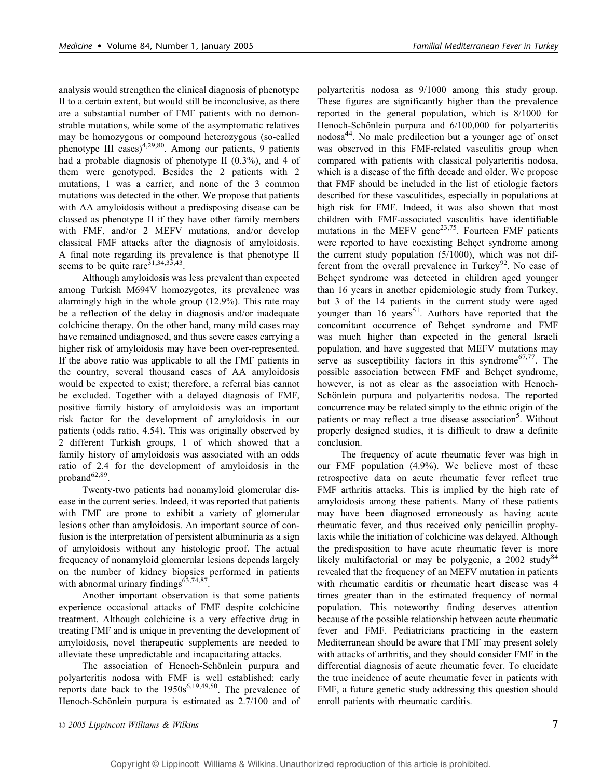analysis would strengthen the clinical diagnosis of phenotype II to a certain extent, but would still be inconclusive, as there are a substantial number of FMF patients with no demonstrable mutations, while some of the asymptomatic relatives may be homozygous or compound heterozygous (so-called phenotype III cases)<sup>4,29,80</sup>. Among our patients, 9 patients had a probable diagnosis of phenotype II (0.3%), and 4 of them were genotyped. Besides the 2 patients with 2 mutations, 1 was a carrier, and none of the 3 common mutations was detected in the other. We propose that patients with AA amyloidosis without a predisposing disease can be classed as phenotype II if they have other family members with FMF, and/or 2 MEFV mutations, and/or develop classical FMF attacks after the diagnosis of amyloidosis. A final note regarding its prevalence is that phenotype II seems to be quite rare<sup> $\bar{3}1,34,35,43$ </sup>.

Although amyloidosis was less prevalent than expected among Turkish M694V homozygotes, its prevalence was alarmingly high in the whole group (12.9%). This rate may be a reflection of the delay in diagnosis and/or inadequate colchicine therapy. On the other hand, many mild cases may have remained undiagnosed, and thus severe cases carrying a higher risk of amyloidosis may have been over-represented. If the above ratio was applicable to all the FMF patients in the country, several thousand cases of AA amyloidosis would be expected to exist; therefore, a referral bias cannot be excluded. Together with a delayed diagnosis of FMF, positive family history of amyloidosis was an important risk factor for the development of amyloidosis in our patients (odds ratio, 4.54). This was originally observed by 2 different Turkish groups, 1 of which showed that a family history of amyloidosis was associated with an odds ratio of 2.4 for the development of amyloidosis in the proband<sup>62,89</sup>.

Twenty-two patients had nonamyloid glomerular disease in the current series. Indeed, it was reported that patients with FMF are prone to exhibit a variety of glomerular lesions other than amyloidosis. An important source of confusion is the interpretation of persistent albuminuria as a sign of amyloidosis without any histologic proof. The actual frequency of nonamyloid glomerular lesions depends largely on the number of kidney biopsies performed in patients with abnormal urinary findings $63,74,87$ .

Another important observation is that some patients experience occasional attacks of FMF despite colchicine treatment. Although colchicine is a very effective drug in treating FMF and is unique in preventing the development of amyloidosis, novel therapeutic supplements are needed to alleviate these unpredictable and incapacitating attacks.

The association of Henoch-Schönlein purpura and polyarteritis nodosa with FMF is well established; early reports date back to the  $1950s^{6,19,49,50}$ . The prevalence of Henoch-Schönlein purpura is estimated as  $2.7/100$  and of polyarteritis nodosa as 9/1000 among this study group. These figures are significantly higher than the prevalence reported in the general population, which is 8/1000 for Henoch-Schönlein purpura and  $6/100,000$  for polyarteritis nodosa<sup>44</sup>. No male predilection but a younger age of onset was observed in this FMF-related vasculitis group when compared with patients with classical polyarteritis nodosa, which is a disease of the fifth decade and older. We propose that FMF should be included in the list of etiologic factors described for these vasculitides, especially in populations at high risk for FMF. Indeed, it was also shown that most children with FMF-associated vasculitis have identifiable mutations in the MEFV gene<sup>23,75</sup>. Fourteen FMF patients were reported to have coexisting Behçet syndrome among the current study population (5/1000), which was not different from the overall prevalence in Turkey<sup>92</sup>. No case of Behcet syndrome was detected in children aged younger than 16 years in another epidemiologic study from Turkey, but 3 of the 14 patients in the current study were aged younger than  $16$  years<sup>51</sup>. Authors have reported that the concomitant occurrence of Behçet syndrome and FMF was much higher than expected in the general Israeli population, and have suggested that MEFV mutations may serve as susceptibility factors in this syndrome<sup>67,77</sup>. The possible association between FMF and Behçet syndrome, however, is not as clear as the association with Henoch-Schönlein purpura and polyarteritis nodosa. The reported concurrence may be related simply to the ethnic origin of the patients or may reflect a true disease association<sup>5</sup>. Without properly designed studies, it is difficult to draw a definite conclusion.

The frequency of acute rheumatic fever was high in our FMF population (4.9%). We believe most of these retrospective data on acute rheumatic fever reflect true FMF arthritis attacks. This is implied by the high rate of amyloidosis among these patients. Many of these patients may have been diagnosed erroneously as having acute rheumatic fever, and thus received only penicillin prophylaxis while the initiation of colchicine was delayed. Although the predisposition to have acute rheumatic fever is more likely multifactorial or may be polygenic, a  $2002$  study<sup>84</sup> revealed that the frequency of an MEFV mutation in patients with rheumatic carditis or rheumatic heart disease was 4 times greater than in the estimated frequency of normal population. This noteworthy finding deserves attention because of the possible relationship between acute rheumatic fever and FMF. Pediatricians practicing in the eastern Mediterranean should be aware that FMF may present solely with attacks of arthritis, and they should consider FMF in the differential diagnosis of acute rheumatic fever. To elucidate the true incidence of acute rheumatic fever in patients with FMF, a future genetic study addressing this question should enroll patients with rheumatic carditis.

 $\degree$  2005 Lippincott Williams & Wilkins  $\degree$  7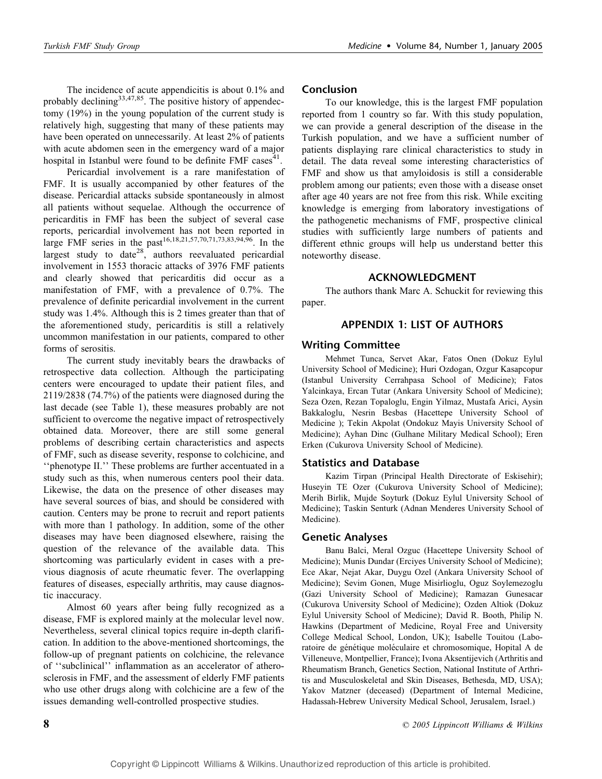The incidence of acute appendicitis is about 0.1% and probably declining $33,47,85$ . The positive history of appendectomy (19%) in the young population of the current study is relatively high, suggesting that many of these patients may have been operated on unnecessarily. At least 2% of patients with acute abdomen seen in the emergency ward of a major hospital in Istanbul were found to be definite  $FMF$  cases<sup>41</sup>.

Pericardial involvement is a rare manifestation of FMF. It is usually accompanied by other features of the disease. Pericardial attacks subside spontaneously in almost all patients without sequelae. Although the occurrence of pericarditis in FMF has been the subject of several case reports, pericardial involvement has not been reported in large FMF series in the past<sup>16,18,21,57,70,71,73,83,94,96</sup>. In the largest study to date<sup>28</sup>, authors reevaluated pericardial involvement in 1553 thoracic attacks of 3976 FMF patients and clearly showed that pericarditis did occur as a manifestation of FMF, with a prevalence of 0.7%. The prevalence of definite pericardial involvement in the current study was 1.4%. Although this is 2 times greater than that of the aforementioned study, pericarditis is still a relatively uncommon manifestation in our patients, compared to other forms of serositis.

The current study inevitably bears the drawbacks of retrospective data collection. Although the participating centers were encouraged to update their patient files, and 2119/2838 (74.7%) of the patients were diagnosed during the last decade (see Table 1), these measures probably are not sufficient to overcome the negative impact of retrospectively obtained data. Moreover, there are still some general problems of describing certain characteristics and aspects of FMF, such as disease severity, response to colchicine, and ''phenotype II.'' These problems are further accentuated in a study such as this, when numerous centers pool their data. Likewise, the data on the presence of other diseases may have several sources of bias, and should be considered with caution. Centers may be prone to recruit and report patients with more than 1 pathology. In addition, some of the other diseases may have been diagnosed elsewhere, raising the question of the relevance of the available data. This shortcoming was particularly evident in cases with a previous diagnosis of acute rheumatic fever. The overlapping features of diseases, especially arthritis, may cause diagnostic inaccuracy.

Almost 60 years after being fully recognized as a disease, FMF is explored mainly at the molecular level now. Nevertheless, several clinical topics require in-depth clarification. In addition to the above-mentioned shortcomings, the follow-up of pregnant patients on colchicine, the relevance of ''subclinical'' inflammation as an accelerator of atherosclerosis in FMF, and the assessment of elderly FMF patients who use other drugs along with colchicine are a few of the issues demanding well-controlled prospective studies.

# Conclusion

To our knowledge, this is the largest FMF population reported from 1 country so far. With this study population, we can provide a general description of the disease in the Turkish population, and we have a sufficient number of patients displaying rare clinical characteristics to study in detail. The data reveal some interesting characteristics of FMF and show us that amyloidosis is still a considerable problem among our patients; even those with a disease onset after age 40 years are not free from this risk. While exciting knowledge is emerging from laboratory investigations of the pathogenetic mechanisms of FMF, prospective clinical studies with sufficiently large numbers of patients and different ethnic groups will help us understand better this noteworthy disease.

## ACKNOWLEDGMENT

The authors thank Marc A. Schuckit for reviewing this paper.

# APPENDIX 1: LIST OF AUTHORS

## Writing Committee

Mehmet Tunca, Servet Akar, Fatos Onen (Dokuz Eylul University School of Medicine); Huri Ozdogan, Ozgur Kasapcopur (Istanbul University Cerrahpasa School of Medicine); Fatos Yalcinkaya, Ercan Tutar (Ankara University School of Medicine); Seza Ozen, Rezan Topaloglu, Engin Yilmaz, Mustafa Arici, Aysin Bakkaloglu, Nesrin Besbas (Hacettepe University School of Medicine ); Tekin Akpolat (Ondokuz Mayis University School of Medicine); Ayhan Dinc (Gulhane Military Medical School); Eren Erken (Cukurova University School of Medicine).

# Statistics and Database

Kazim Tirpan (Principal Health Directorate of Eskisehir); Huseyin TE Ozer (Cukurova University School of Medicine); Merih Birlik, Mujde Soyturk (Dokuz Eylul University School of Medicine); Taskin Senturk (Adnan Menderes University School of Medicine).

## Genetic Analyses

Banu Balci, Meral Ozguc (Hacettepe University School of Medicine); Munis Dundar (Erciyes University School of Medicine); Ece Akar, Nejat Akar, Duygu Ozel (Ankara University School of Medicine); Sevim Gonen, Muge Misirlioglu, Oguz Soylemezoglu (Gazi University School of Medicine); Ramazan Gunesacar (Cukurova University School of Medicine); Ozden Altiok (Dokuz Eylul University School of Medicine); David R. Booth, Philip N. Hawkins (Department of Medicine, Royal Free and University College Medical School, London, UK); Isabelle Touitou (Laboratoire de génétique moléculaire et chromosomique, Hopital A de Villeneuve, Montpellier, France); Ivona Aksentijevich (Arthritis and Rheumatism Branch, Genetics Section, National Institute of Arthritis and Musculoskeletal and Skin Diseases, Bethesda, MD, USA); Yakov Matzner (deceased) (Department of Internal Medicine, Hadassah-Hebrew University Medical School, Jerusalem, Israel.)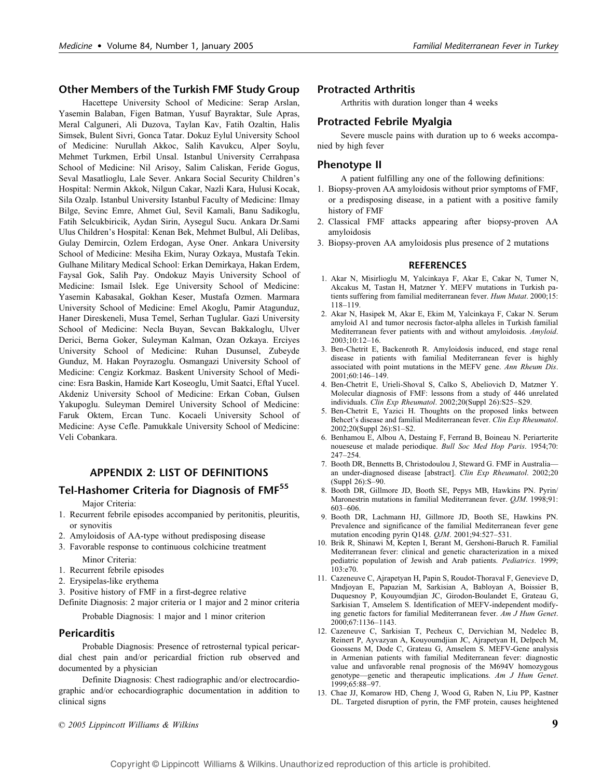### Other Members of the Turkish FMF Study Group

Hacettepe University School of Medicine: Serap Arslan, Yasemin Balaban, Figen Batman, Yusuf Bayraktar, Sule Apras, Meral Calguneri, Ali Duzova, Taylan Kav, Fatih Ozaltin, Halis Simsek, Bulent Sivri, Gonca Tatar. Dokuz Eylul University School of Medicine: Nurullah Akkoc, Salih Kavukcu, Alper Soylu, Mehmet Turkmen, Erbil Unsal. Istanbul University Cerrahpasa School of Medicine: Nil Arisoy, Salim Caliskan, Feride Gogus, Seval Masatlioglu, Lale Sever. Ankara Social Security Children's Hospital: Nermin Akkok, Nilgun Cakar, Nazli Kara, Hulusi Kocak, Sila Ozalp. Istanbul University Istanbul Faculty of Medicine: Ilmay Bilge, Sevinc Emre, Ahmet Gul, Sevil Kamali, Banu Sadikoglu, Fatih Selcukbiricik, Aydan Sirin, Aysegul Sucu. Ankara Dr.Sami Ulus Children's Hospital: Kenan Bek, Mehmet Bulbul, Ali Delibas, Gulay Demircin, Ozlem Erdogan, Ayse Oner. Ankara University School of Medicine: Mesiha Ekim, Nuray Ozkaya, Mustafa Tekin. Gulhane Military Medical School: Erkan Demirkaya, Hakan Erdem, Faysal Gok, Salih Pay. Ondokuz Mayis University School of Medicine: Ismail Islek. Ege University School of Medicine: Yasemin Kabasakal, Gokhan Keser, Mustafa Ozmen. Marmara University School of Medicine: Emel Akoglu, Pamir Atagunduz, Haner Direskeneli, Musa Temel, Serhan Tuglular. Gazi University School of Medicine: Necla Buyan, Sevcan Bakkaloglu, Ulver Derici, Berna Goker, Suleyman Kalman, Ozan Ozkaya. Erciyes University School of Medicine: Ruhan Dusunsel, Zubeyde Gunduz, M. Hakan Poyrazoglu. Osmangazi University School of Medicine: Cengiz Korkmaz. Baskent University School of Medicine: Esra Baskin, Hamide Kart Koseoglu, Umit Saatci, Eftal Yucel. Akdeniz University School of Medicine: Erkan Coban, Gulsen Yakupoglu. Suleyman Demirel University School of Medicine: Faruk Oktem, Ercan Tunc. Kocaeli University School of Medicine: Ayse Cefle. Pamukkale University School of Medicine: Veli Cobankara.

## APPENDIX 2: LIST OF DEFINITIONS

# Tel-Hashomer Criteria for Diagnosis of FMF<sup>55</sup>

Major Criteria:

- 1. Recurrent febrile episodes accompanied by peritonitis, pleuritis, or synovitis
- 2. Amyloidosis of AA-type without predisposing disease
- 3. Favorable response to continuous colchicine treatment Minor Criteria:
- 1. Recurrent febrile episodes
- 2. Erysipelas-like erythema
- 3. Positive history of FMF in a first-degree relative
- Definite Diagnosis: 2 major criteria or 1 major and 2 minor criteria

Probable Diagnosis: 1 major and 1 minor criterion

#### Pericarditis

Probable Diagnosis: Presence of retrosternal typical pericardial chest pain and/or pericardial friction rub observed and documented by a physician

Definite Diagnosis: Chest radiographic and/or electrocardiographic and/or echocardiographic documentation in addition to clinical signs

#### Protracted Arthritis

Arthritis with duration longer than 4 weeks

## Protracted Febrile Myalgia

Severe muscle pains with duration up to 6 weeks accompanied by high fever

#### Phenotype II

A patient fulfilling any one of the following definitions:

- 1. Biopsy-proven AA amyloidosis without prior symptoms of FMF, or a predisposing disease, in a patient with a positive family history of FMF
- 2. Classical FMF attacks appearing after biopsy-proven AA amyloidosis
- 3. Biopsy-proven AA amyloidosis plus presence of 2 mutations

### REFERENCES

- 1. Akar N, Misirlioglu M, Yalcinkaya F, Akar E, Cakar N, Tumer N, Akcakus M, Tastan H, Matzner Y. MEFV mutations in Turkish patients suffering from familial mediterranean fever. Hum Mutat. 2000;15: 118–119.
- 2. Akar N, Hasipek M, Akar E, Ekim M, Yalcinkaya F, Cakar N. Serum amyloid A1 and tumor necrosis factor-alpha alleles in Turkish familial Mediterranean fever patients with and without amyloidosis. Amyloid. 2003;10:12–16.
- 3. Ben-Chetrit E, Backenroth R. Amyloidosis induced, end stage renal disease in patients with familial Mediterranean fever is highly associated with point mutations in the MEFV gene. Ann Rheum Dis. 2001;60:146–149.
- 4. Ben-Chetrit E, Urieli-Shoval S, Calko S, Abeliovich D, Matzner Y. Molecular diagnosis of FMF: lessons from a study of 446 unrelated individuals. Clin Exp Rheumatol. 2002;20(Suppl 26):S25–S29.
- 5. Ben-Chetrit E, Yazici H. Thoughts on the proposed links between Behcet's disease and familial Mediterranean fever. Clin Exp Rheumatol. 2002;20(Suppl 26):S1–S2.
- 6. Benhamou E, Albou A, Destaing F, Ferrand B, Boineau N. Periarterite noueseuse et malade periodique. Bull Soc Med Hop Paris. 1954;70: 247–254.
- 7. Booth DR, Bennetts B, Christodoulou J, Steward G. FMF in Australia an under-diagnosed disease [abstract]. Clin Exp Rheumatol. 2002;20 (Suppl 26):S–90.
- 8. Booth DR, Gillmore JD, Booth SE, Pepys MB, Hawkins PN. Pyrin/ Maronestrin mutations in familial Mediterranean fever. QJM. 1998;91: 603–606.
- 9. Booth DR, Lachmann HJ, Gillmore JD, Booth SE, Hawkins PN. Prevalence and significance of the familial Mediterranean fever gene mutation encoding pyrin Q148. QJM. 2001;94:527–531.
- 10. Brik R, Shinawi M, Kepten I, Berant M, Gershoni-Baruch R. Familial Mediterranean fever: clinical and genetic characterization in a mixed pediatric population of Jewish and Arab patients. Pediatrics. 1999; 103:e70.
- 11. Cazeneuve C, Ajrapetyan H, Papin S, Roudot-Thoraval F, Genevieve D, Mndjoyan E, Papazian M, Sarkisian A, Babloyan A, Boissier B, Duquesnoy P, Kouyoumdjian JC, Girodon-Boulandet E, Grateau G, Sarkisian T, Amselem S. Identification of MEFV-independent modifying genetic factors for familial Mediterranean fever. Am J Hum Genet. 2000;67:1136–1143.
- 12. Cazeneuve C, Sarkisian T, Pecheux C, Dervichian M, Nedelec B, Reinert P, Ayvazyan A, Kouyoumdjian JC, Ajrapetyan H, Delpech M, Goossens M, Dode C, Grateau G, Amselem S. MEFV-Gene analysis in Armenian patients with familial Mediterranean fever: diagnostic value and unfavorable renal prognosis of the M694V homozygous genotype—genetic and therapeutic implications. Am J Hum Genet. 1999;65:88–97.
- 13. Chae JJ, Komarow HD, Cheng J, Wood G, Raben N, Liu PP, Kastner DL. Targeted disruption of pyrin, the FMF protein, causes heightened

 $\odot$  2005 Lippincott Williams & Wilkins  $\ddot{\phantom{1}}$  9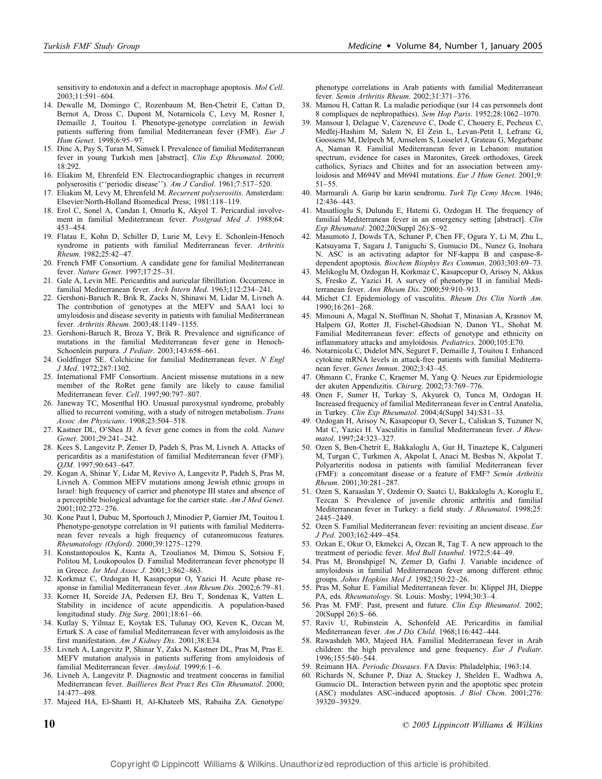sensitivity to endotoxin and a defect in macrophage apoptosis. Mol Cell. 2003;11:591–604.

- 14. Dewalle M, Domingo C, Rozenbaum M, Ben-Chetrit E, Cattan D, Bernot A, Dross C, Dupont M, Notarnicola C, Levy M, Rosner I, Demaille J, Touitou I. Phenotype-genotype correlation in Jewish patients suffering from familial Mediterranean fever (FMF). Eur J Hum Genet. 1998;6:95–97.
- 15. Dinc A, Pay S, Turan M, Simsek I. Prevalence of familial Mediterranean fever in young Turkish men [abstract]. Clin Exp Rheumatol. 2000;  $18.292$
- 16. Eliakim M, Ehrenfeld EN. Electrocardiographic changes in recurrent polyserositis (''periodic disease''). Am J Cardiol. 1961;7:517–520.
- 17. Eliakim M, Levy M, Ehrenfeld M. Recurrent polyserositis. Amsterdam: Elsevier/North-Holland Biomedical Press; 1981:118–119.
- 18. Erol C, Sonel A, Candan I, Omurlu K, Akyol T. Pericardial involvement in familial Mediterranean fever. Postgrad Med J. 1988;64: 453–454.
- 19. Flatau E, Kohn D, Schiller D, Lurie M, Levy E. Schonlein-Henoch syndrome in patients with familial Mediterranean fever. Arthritis Rheum. 1982;25:42–47.
- 20. French FMF Consortium. A candidate gene for familial Mediterranean fever. Nature Genet. 1997;17:25–31.
- 21. Gale A, Levin ME. Pericarditis and auricular fibrillation. Occurrence in familial Mediterranean fever. Arch Intern Med. 1963;112:234–241.
- 22. Gershoni-Baruch R, Brik R, Zacks N, Shinawi M, Lidar M, Livneh A. The contribution of genotypes at the MEFV and SAA1 loci to amyloidosis and disease severity in patients with familial Mediterranean fever. Arthritis Rheum. 2003;48:1149–1155.
- 23. Gershoni-Baruch R, Broza Y, Brik R. Prevalence and significance of mutations in the familial Mediterranean fever gene in Henoch-Schoenlein purpura. J Pediatr. 2003;143:658–661.
- 24. Goldfinger SE. Colchicine for familial Mediterranean fever. N Engl J Med. 1972;287:1302.
- 25. International FMF Consortium. Ancient missense mutations in a new member of the RoRet gene family are likely to cause familial Mediterranean fever. Cell. 1997;90:797–807.
- 26. Janeway TC, Mosenthal HO. Unusual paroxysmal syndrome, probably allied to recurrent vomiting, with a study of nitrogen metabolism. Trans Assoc Am Physicians. 1908;23:504–518.
- 27. Kastner DL, O'Shea JJ. A fever gene comes in from the cold. Nature Genet. 2001;29:241–242.
- 28. Kees S, Langevitz P, Zemer D, Padeh S, Pras M, Livneh A. Attacks of pericarditis as a manifestation of familial Mediterranean fever (FMF). QJM. 1997;90:643–647.
- 29. Kogan A, Shinar Y, Lidar M, Revivo A, Langevitz P, Padeh S, Pras M, Livneh A. Common MEFV mutations among Jewish ethnic groups in Israel: high frequency of carrier and phenotype III states and absence of a perceptible biological advantage for the carrier state. Am J Med Genet. 2001;102:272–276.
- 30. Kone Paut I, Dubuc M, Sportouch J, Minodier P, Garnier JM, Touitou I. Phenotype-genotype correlation in 91 patients with familial Mediterranean fever reveals a high frequency of cutaneomucous features. Rheumatology (Oxford). 2000;39:1275–1279.
- 31. Konstantopoulos K, Kanta A, Tzoulianos M, Dimou S, Sotsiou F, Politou M, Loukopoulos D. Familial Mediterranean fever phenotype II in Greece. Isr Med Assoc J. 2001;3:862–863.
- 32. Korkmaz C, Ozdogan H, Kasapcopur O, Yazici H. Acute phase response in familial Mediterranean fever. Ann Rheum Dis. 2002;6:79–81.
- 33. Korner H, Soreide JA, Pedersen EJ, Bru T, Sondenaa K, Vatten L. Stability in incidence of acute appendicitis. A population-based longitudinal study. Dig Surg. 2001;18:61–66.
- 34. Kutlay S, Yilmaz E, Koytak ES, Tulunay OO, Keven K, Ozcan M, Erturk S. A case of familial Mediterranean fever with amyloidosis as the first manifestation. Am J Kidney Dis. 2001;38:E34.
- 35. Livneh A, Langevitz P, Shinar Y, Zaks N, Kastner DL, Pras M, Pras E. MEFV mutation analysis in patients suffering from amyloidosis of familial Mediterranean fever. Amyloid. 1999;6:1–6.
- 36. Livneh A, Langevitz P. Diagnostic and treatment concerns in familial Mediterranean fever. Baillieres Best Pract Res Clin Rheumatol. 2000; 14:477–498.
- 37. Majeed HA, El-Shanti H, Al-Khateeb MS, Rabaiha ZA. Genotype/

phenotype correlations in Arab patients with familial Mediterranean fever. Semin Arthritis Rheum. 2002;31:371–376.

- 38. Mamou H, Cattan R. La maladie periodique (sur 14 cas personnels dont 8 compliques de nephropathies). Sem Hop Paris. 1952;28:1062–1070.
- 39. Mansour I, Delague V, Cazeneuve C, Dode C, Chouery E, Pecheux C, Medlej-Hashim M, Salem N, El Zein L, Levan-Petit I, Lefranc G, Goossens M, Delpech M, Amselem S, Loiselet J, Grateau G, Megarbane A, Naman R. Familial Mediterranean fever in Lebanon: mutation spectrum, evidence for cases in Maronites, Greek orthodoxes, Greek catholics, Syriacs and Chiites and for an association between amyloidosis and M694V and M694I mutations. Eur J Hum Genet. 2001;9: 51–55.
- 40. Marmarali A. Garip bir karin sendromu. Turk Tip Cemy Mecm. 1946; 12:436–443.
- 41. Masatlioglu S, Dulundu E, Hatemi G, Ozdogan H. The frequency of familial Mediterranean fever in an emergency setting [abstract]. Clin Exp Rheumatol. 2002;20(Suppl 26):S–92.
- 42. Masumoto J, Dowds TA, Schaner P, Chen FF, Ogura Y, Li M, Zhu L, Katsuyama T, Sagara J, Taniguchi S, Gumucio DL, Nunez G, Inohara N. ASC is an activating adaptor for NF-kappa B and caspase-8 dependent apoptosis. Biochem Biophys Res Commun. 2003;303:69–73.
- 43. Melikoglu M, Ozdogan H, Korkmaz C, Kasapcopur O, Arisoy N, Akkus S, Fresko Z, Yazici H. A survey of phenotype II in familial Mediterranean fever. Ann Rheum Dis. 2000;59:910–913.
- 44. Michet CJ. Epidemiology of vasculitis. Rheum Dis Clin North Am. 1990;16:261–268.
- 45. Mimouni A, Magal N, Stoffman N, Shohat T, Minasian A, Krasnov M, Halpern GJ, Rotter JI, Fischel-Ghodsian N, Danon YL, Shohat M. Familial Mediterranean fever: effects of genotype and ethnicity on inflammatory attacks and amyloidosis. Pediatrics. 2000;105:E70.
- 46. Notarnicola C, Didelot MN, Seguret F, Demaille J, Touitou I. Enhanced cytokine mRNA levels in attack-free patients with familial Mediterranean fever. Genes Immun. 2002;3:43–45.
- 47. Ohmann C, Franke C, Kraemer M, Yang Q. Neues zur Epidemiologie der akuten Appendizitis. Chirurg. 2002;73:769–776.
- 48. Onen F, Sumer H, Turkay S, Akyurek O, Tunca M, Ozdogan H. Increased frequency of familial Mediterranean fever in Central Anatolia, in Turkey. Clin Exp Rheumatol. 2004;4(Suppl 34):S31–33.
- 49. Ozdogan H, Arisoy N, Kasapcopur O, Sever L, Caliskan S, Tuzuner N, Mat C, Yazici H. Vasculitis in familial Mediterranean fever. J Rheumatol. 1997;24:323–327.
- 50. Ozen S, Ben-Chetrit E, Bakkaloglu A, Gur H, Tinaztepe K, Calguneri M, Turgan C, Turkmen A, Akpolat I, Anaci M, Besbas N, Akpolat T. Polyarteritis nodosa in patients with familial Mediterranean fever (FMF): a concomitant disease or a feature of FMF? Semin Arthritis Rheum. 2001;30:281–287.
- 51. Ozen S, Karaaslan Y, Ozdemir O, Saatci U, Bakkaloglu A, Koroglu E, Tezcan S. Prevalence of juvenile chronic arthritis and familial Mediterranean fever in Turkey: a field study. J Rheumatol. 1998;25: 2445–2449.
- 52. Ozen S. Familial Mediterranean fever: revisiting an ancient disease. Eur J Ped. 2003;162:449–454.
- 53. Ozkan E, Okur O, Ekmekci A, Ozcan R, Tag T. A new approach to the treatment of periodic fever. Med Bull Istanbul. 1972;5:44–49.
- 54. Pras M, Bronshpigel N, Zemer D, Gafni J. Variable incidence of amyloidosis in familial Mediterranean fever among different ethnic groups. Johns Hopkins Med J. 1982;150:22–26.
- 55. Pras M, Sohar E. Familial Mediterranean fever. In: Klippel JH, Dieppe PA, eds. Rheumatology. St. Louis: Mosby; 1994;30:3-4.
- 56. Pras M. FMF: Past, present and future. Clin Exp Rheumatol. 2002; 20(Suppl 26):S–66.
- 57. Raviv U, Rubinstein A, Schonfeld AE. Pericarditis in familial Mediterranean fever. Am J Dis Child. 1968;116:442–444.
- 58. Rawashdeh MO, Majeed HA. Familial Mediterranean fever in Arab children: the high prevalence and gene frequency. Eur J Pediatr. 1996;155:540–544.
- 59. Reimann HA. Periodic Diseases. FA Davis: Philadelphia; 1963:14.
- 60. Richards N, Schaner P, Diaz A, Stuckey J, Shelden E, Wadhwa A, Gumucio DL. Interaction between pyrin and the apoptotic spec protein (ASC) modulates ASC-induced apoptosis. J Biol Chem. 2001;276: 39320–39329.

10 n 2005 Lippincott Williams & Wilkins